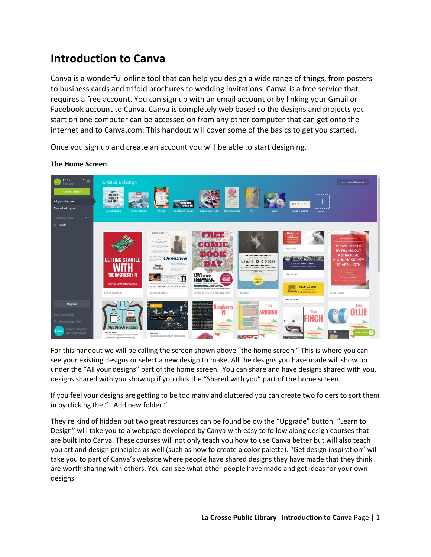# **Introduction to Canva**

Canva is a wonderful online tool that can help you design a wide range of things, from posters to business cards and trifold brochures to wedding invitations. Canva is a free service that requires a free account. You can sign up with an email account or by linking your Gmail or Facebook account to Canva. Canva is completely web based so the designs and projects you start on one computer can be accessed on from any other computer that can get onto the internet and to Canva.com. This handout will cover some of the basics to get you started.

Once you sign up and create an account you will be able to start designing.



## **The Home Screen**

For this handout we will be calling the screen shown above "the home screen." This is where you can see your existing designs or select a new design to make. All the designs you have made will show up under the "All your designs" part of the home screen. You can share and have designs shared with you, designs shared with you show up if you click the "Shared with you" part of the home screen.

If you feel your designs are getting to be too many and cluttered you can create two folders to sort them in by clicking the "+ Add new folder."

They're kind of hidden but two great resources can be found below the "Upgrade" button. "Learn to Design" will take you to a webpage developed by Canva with easy to follow along design courses that are built into Canva. These courses will not only teach you how to use Canva better but will also teach you art and design principles as well (such as how to create a color palette). "Get design inspiration" will take you to part of Canva's website where people have shared designs they have made that they think are worth sharing with others. You can see what other people have made and get ideas for your own designs.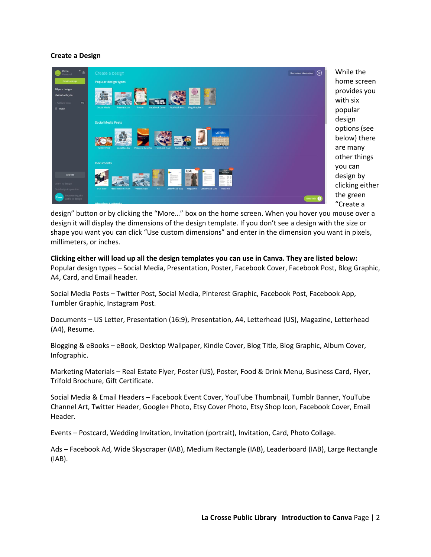## **Create a Design**



While the home screen provides you with six popular design options (see below) there are many other things you can design by clicking either the green "Create a

design" button or by clicking the "More…" box on the home screen. When you hover you mouse over a design it will display the dimensions of the design template. If you don't see a design with the size or shape you want you can click "Use custom dimensions" and enter in the dimension you want in pixels, millimeters, or inches.

**Clicking either will load up all the design templates you can use in Canva. They are listed below:** Popular design types – Social Media, Presentation, Poster, Facebook Cover, Facebook Post, Blog Graphic, A4, Card, and Email header.

Social Media Posts – Twitter Post, Social Media, Pinterest Graphic, Facebook Post, Facebook App, Tumbler Graphic, Instagram Post.

Documents – US Letter, Presentation (16:9), Presentation, A4, Letterhead (US), Magazine, Letterhead (A4), Resume.

Blogging & eBooks – eBook, Desktop Wallpaper, Kindle Cover, Blog Title, Blog Graphic, Album Cover, Infographic.

Marketing Materials – Real Estate Flyer, Poster (US), Poster, Food & Drink Menu, Business Card, Flyer, Trifold Brochure, Gift Certificate.

Social Media & Email Headers – Facebook Event Cover, YouTube Thumbnail, Tumblr Banner, YouTube Channel Art, Twitter Header, Google+ Photo, Etsy Cover Photo, Etsy Shop Icon, Facebook Cover, Email Header.

Events – Postcard, Wedding Invitation, Invitation (portrait), Invitation, Card, Photo Collage.

Ads – Facebook Ad, Wide Skyscraper (IAB), Medium Rectangle (IAB), Leaderboard (IAB), Large Rectangle (IAB).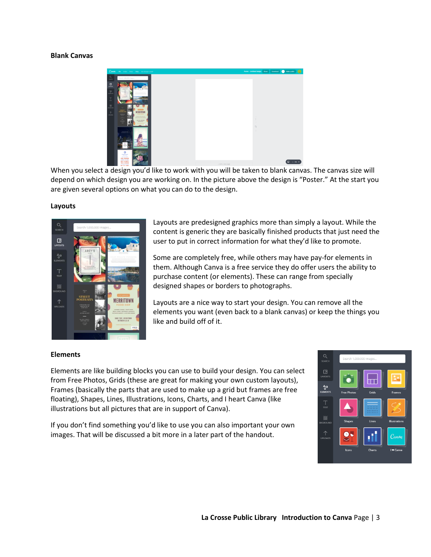## **Blank Canvas**



When you select a design you'd like to work with you will be taken to blank canvas. The canvas size will depend on which design you are working on. In the picture above the design is "Poster." At the start you are given several options on what you can do to the design.

## **Layouts**



Layouts are predesigned graphics more than simply a layout. While the content is generic they are basically finished products that just need the user to put in correct information for what they'd like to promote.

Some are completely free, while others may have pay-for elements in them. Although Canva is a free service they do offer users the ability to purchase content (or elements). These can range from specially designed shapes or borders to photographs.

Layouts are a nice way to start your design. You can remove all the elements you want (even back to a blank canvas) or keep the things you like and build off of it.

## **Elements**

Elements are like building blocks you can use to build your design. You can select from Free Photos, Grids (these are great for making your own custom layouts), Frames (basically the parts that are used to make up a grid but frames are free floating), Shapes, Lines, Illustrations, Icons, Charts, and I heart Canva (like illustrations but all pictures that are in support of Canva).

If you don't find something you'd like to use you can also important your own images. That will be discussed a bit more in a later part of the handout.

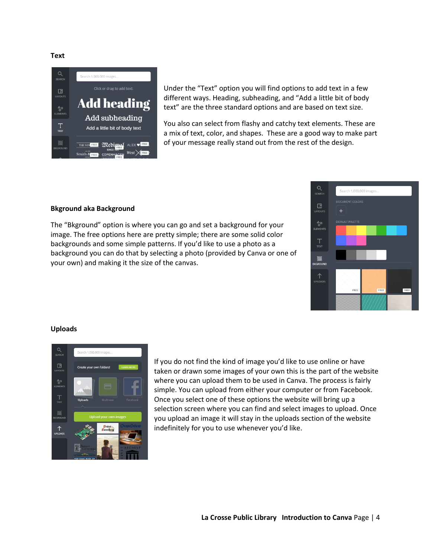**Text**



Under the "Text" option you will find options to add text in a few different ways. Heading, subheading, and "Add a little bit of body text" are the three standard options and are based on text size.

You also can select from flashy and catchy text elements. These are a mix of text, color, and shapes. These are a good way to make part of your message really stand out from the rest of the design.

#### **Bkground aka Background**

The "Bkground" option is where you can go and set a background for your image. The free options here are pretty simple; there are some solid color backgrounds and some simple patterns. If you'd like to use a photo as a background you can do that by selecting a photo (provided by Canva or one of your own) and making it the size of the canvas.



### **Uploads**



If you do not find the kind of image you'd like to use online or have taken or drawn some images of your own this is the part of the website where you can upload them to be used in Canva. The process is fairly simple. You can upload from either your computer or from Facebook. Once you select one of these options the website will bring up a selection screen where you can find and select images to upload. Once you upload an image it will stay in the uploads section of the website indefinitely for you to use whenever you'd like.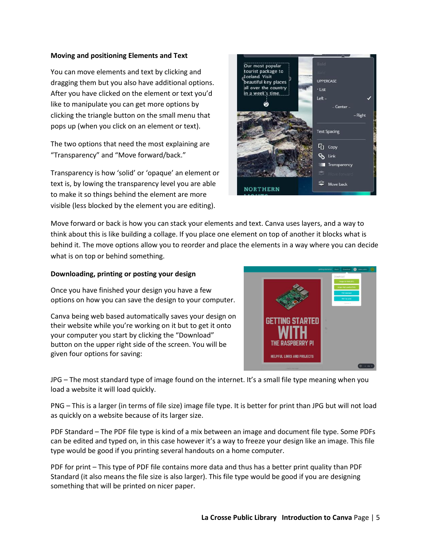## **Moving and positioning Elements and Text**

You can move elements and text by clicking and dragging them but you also have additional options. After you have clicked on the element or text you'd like to manipulate you can get more options by clicking the triangle button on the small menu that pops up (when you click on an element or text).

The two options that need the most explaining are "Transparency" and "Move forward/back."

Transparency is how 'solid' or 'opaque' an element or text is, by lowing the transparency level you are able to make it so things behind the element are more visible (less blocked by the element you are editing).



Move forward or back is how you can stack your elements and text. Canva uses layers, and a way to think about this is like building a collage. If you place one element on top of another it blocks what is behind it. The move options allow you to reorder and place the elements in a way where you can decide what is on top or behind something.

## **Downloading, printing or posting your design**

Once you have finished your design you have a few options on how you can save the design to your computer.

Canva being web based automatically saves your design on their website while you're working on it but to get it onto your computer you start by clicking the "Download" button on the upper right side of the screen. You will be given four options for saving:



JPG – The most standard type of image found on the internet. It's a small file type meaning when you load a website it will load quickly.

PNG – This is a larger (in terms of file size) image file type. It is better for print than JPG but will not load as quickly on a website because of its larger size.

PDF Standard – The PDF file type is kind of a mix between an image and document file type. Some PDFs can be edited and typed on, in this case however it's a way to freeze your design like an image. This file type would be good if you printing several handouts on a home computer.

PDF for print – This type of PDF file contains more data and thus has a better print quality than PDF Standard (it also means the file size is also larger). This file type would be good if you are designing something that will be printed on nicer paper.